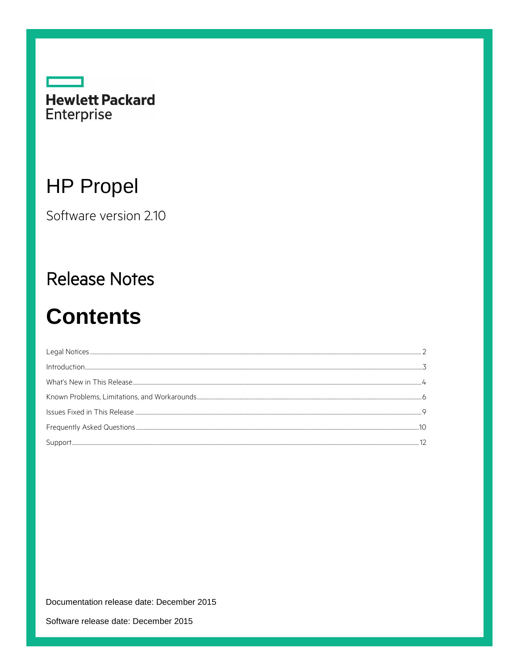

# **HP Propel**

Software version 2.10

## **Release Notes**

# **Contents**

| Support |  |
|---------|--|

Documentation release date: December 2015

Software release date: December 2015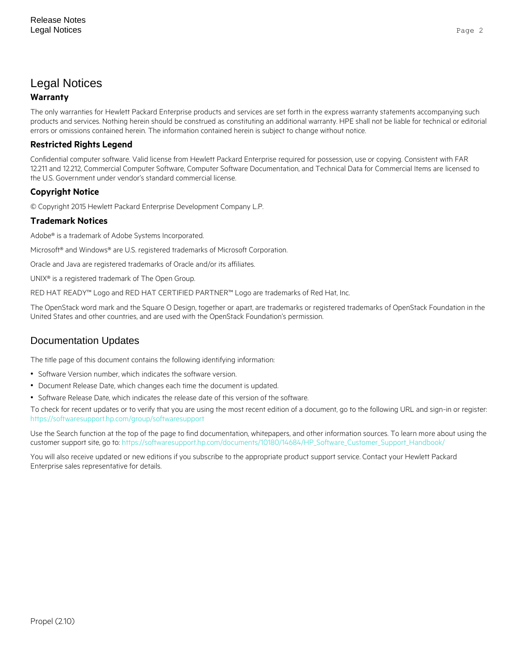## <span id="page-1-0"></span>Legal Notices

#### **Warranty**

The only warranties for Hewlett Packard Enterprise products and services are set forth in the express warranty statements accompanying such products and services. Nothing herein should be construed as constituting an additional warranty. HPE shall not be liable for technical or editorial errors or omissions contained herein. The information contained herein is subject to change without notice.

#### **Restricted Rights Legend**

Confidential computer software. Valid license from Hewlett Packard Enterprise required for possession, use or copying. Consistent with FAR 12.211 and 12.212, Commercial Computer Software, Computer Software Documentation, and Technical Data for Commercial Items are licensed to the U.S. Government under vendor's standard commercial license.

#### **Copyright Notice**

© Copyright 2015 Hewlett Packard Enterprise Development Company L.P.

#### **Trademark Notices**

Adobe® is a trademark of Adobe Systems Incorporated.

Microsoft<sup>®</sup> and Windows® are U.S. registered trademarks of Microsoft Corporation.

Oracle and Java are registered trademarks of Oracle and/or its affiliates.

UNIX® is a registered trademark of The Open Group.

RED HAT READY™ Logo and RED HAT CERTIFIED PARTNER™ Logo are trademarks of Red Hat, Inc.

The OpenStack word mark and the Square O Design, together or apart, are trademarks or registered trademarks of OpenStack Foundation in the United States and other countries, and are used with the OpenStack Foundation's permission.

### Documentation Updates

The title page of this document contains the following identifying information:

- Software Version number, which indicates the software version.
- Document Release Date, which changes each time the document is updated.
- Software Release Date, which indicates the release date of this version of the software.

To check for recent updates or to verify that you are using the most recent edition of a document, go to the following URL and sign-in or register: <https://softwaresupport.hp.com/group/softwaresupport>

Use the Search function at the top of the page to find documentation, whitepapers, and other information sources. To learn more about using the customer support site, go to: [https://softwaresupport.hp.com/documents/10180/14684/HP\\_Software\\_Customer\\_Support\\_Handbook/](https://softwaresupport.hp.com/documents/10180/14684/HP_Software_Customer_Support_Handbook/) 

You will also receive updated or new editions if you subscribe to the appropriate product support service. Contact your Hewlett Packard Enterprise sales representative for details.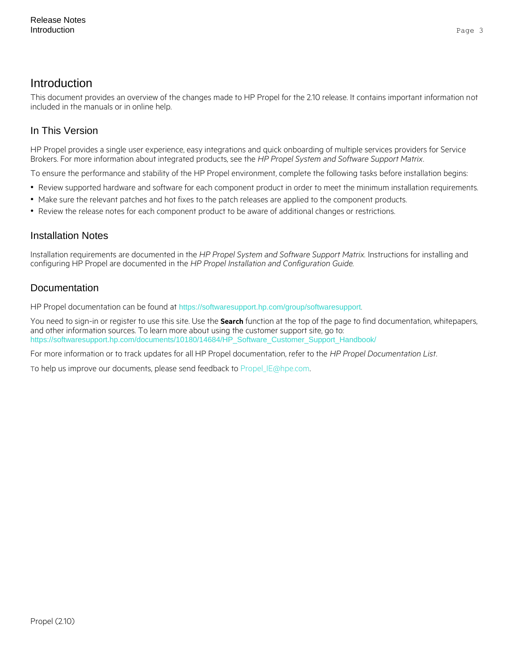## <span id="page-2-0"></span>Introduction

This document provides an overview of the changes made to HP Propel for the 2.10 release. It contains important information not included in the manuals or in online help.

### In This Version

HP Propel provides a single user experience, easy integrations and quick onboarding of multiple services providers for Service Brokers. For more information about integrated products, see the *HP Propel System and Software Support Matrix*.

To ensure the performance and stability of the HP Propel environment, complete the following tasks before installation begins:

- Review supported hardware and software for each component product in order to meet the minimum installation requirements.
- Make sure the relevant patches and hot fixes to the patch releases are applied to the component products.
- Review the release notes for each component product to be aware of additional changes or restrictions.

#### Installation Notes

Installation requirements are documented in the *HP Propel System and Software Support Matrix.* Instructions for installing and configuring HP Propel are documented in the *HP Propel Installation and Configuration Guide.*

#### **Documentation**

HP Propel documentation can be found at <https://softwaresupport.hp.com/group/softwaresupport>.

You need to sign-in or register to use this site. Use the **Search** function at the top of the page to find documentation, whitepapers, and other information sources. To learn more about using the customer support site, go to: [https://softwaresupport.hp.com/documents/10180/14684/HP\\_Software\\_Customer\\_Support\\_Handbook/](https://softwaresupport.hp.com/documents/10180/14684/HP_Software_Customer_Support_Handbook/)

For more information or to track updates for all HP Propel documentation, refer to the *HP Propel Documentation List*.

To help us improve our documents, please send feedback to [Propel\\_IE@hpe.com.](mailto:Propel_IE@hpe.com)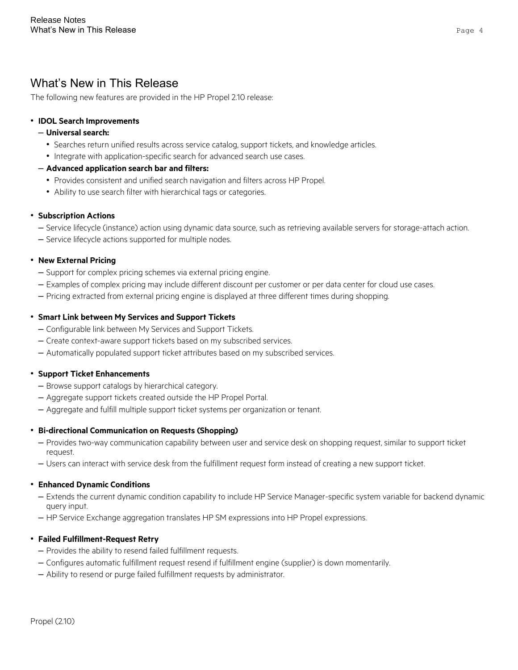## <span id="page-3-0"></span>What's New in This Release

The following new features are provided in the HP Propel 2.10 release:

#### • **IDOL Search Improvements**

#### – **Universal search:**

- Searches return unified results across service catalog, support tickets, and knowledge articles.
- Integrate with application-specific search for advanced search use cases.

#### – **Advanced application search bar and filters:**

- Provides consistent and unified search navigation and filters across HP Propel.
- Ability to use search filter with hierarchical tags or categories.

#### • **Subscription Actions**

- Service lifecycle (instance) action using dynamic data source, such as retrieving available servers for storage-attach action.
- Service lifecycle actions supported for multiple nodes.

#### • **New External Pricing**

- Support for complex pricing schemes via external pricing engine.
- Examples of complex pricing may include different discount per customer or per data center for cloud use cases.
- Pricing extracted from external pricing engine is displayed at three different times during shopping.

#### • **Smart Link between My Services and Support Tickets**

- Configurable link between My Services and Support Tickets.
- Create context-aware support tickets based on my subscribed services.
- Automatically populated support ticket attributes based on my subscribed services.

#### • **Support Ticket Enhancements**

- Browse support catalogs by hierarchical category.
- Aggregate support tickets created outside the HP Propel Portal.
- Aggregate and fulfill multiple support ticket systems per organization or tenant.

#### • **Bi-directional Communication on Requests (Shopping)**

- Provides two-way communication capability between user and service desk on shopping request, similar to support ticket request.
- Users can interact with service desk from the fulfillment request form instead of creating a new support ticket.

#### • **Enhanced Dynamic Conditions**

- Extends the current dynamic condition capability to include HP Service Manager-specific system variable for backend dynamic query input.
- HP Service Exchange aggregation translates HP SM expressions into HP Propel expressions.

#### • **Failed Fulfillment-Request Retry**

- Provides the ability to resend failed fulfillment requests.
- Configures automatic fulfillment request resend if fulfillment engine (supplier) is down momentarily.
- Ability to resend or purge failed fulfillment requests by administrator.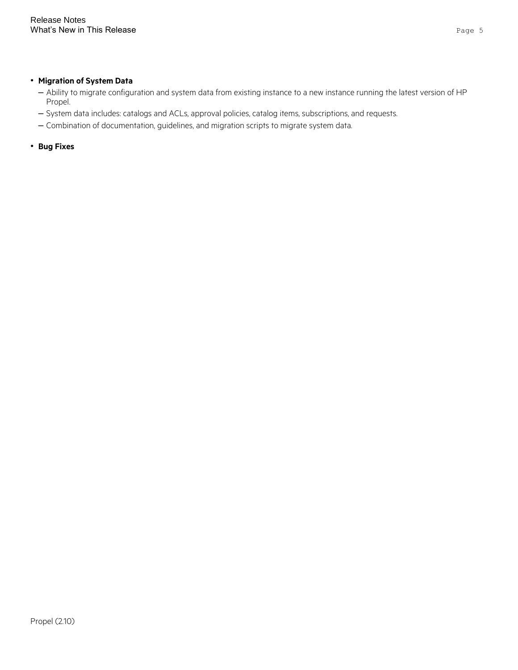#### • **Migration of System Data**

- Ability to migrate configuration and system data from existing instance to a new instance running the latest version of HP Propel.
- System data includes: catalogs and ACLs, approval policies, catalog items, subscriptions, and requests.
- Combination of documentation, guidelines, and migration scripts to migrate system data.

• **Bug Fixes**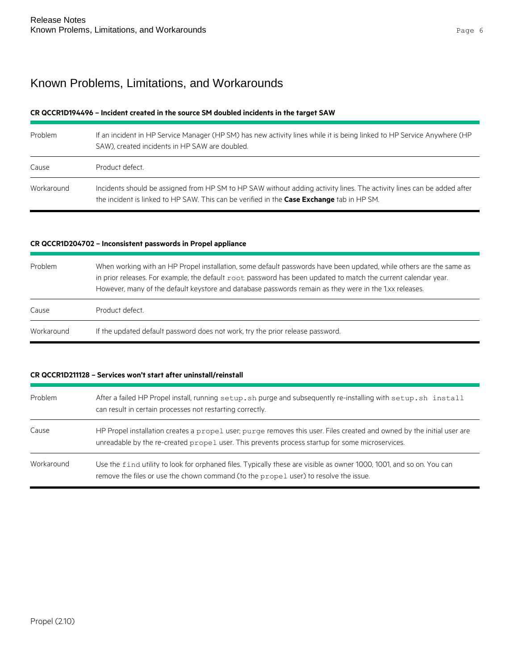## <span id="page-5-0"></span>Known Problems, Limitations, and Workarounds

#### **CR QCCR1D194496 – Incident created in the source SM doubled incidents in the target SAW**

| Problem    | If an incident in HP Service Manager (HP SM) has new activity lines while it is being linked to HP Service Anywhere (HP<br>SAW), created incidents in HP SAW are doubled.                                           |
|------------|---------------------------------------------------------------------------------------------------------------------------------------------------------------------------------------------------------------------|
| Cause      | Product defect.                                                                                                                                                                                                     |
| Workaround | Incidents should be assigned from HP SM to HP SAW without adding activity lines. The activity lines can be added after<br>the incident is linked to HP SAW. This can be verified in the Case Exchange tab in HP SM. |

#### **CR QCCR1D204702 – Inconsistent passwords in Propel appliance**

| Problem    | When working with an HP Propel installation, some default passwords have been updated, while others are the same as<br>in prior releases. For example, the default root password has been updated to match the current calendar year.<br>However, many of the default keystore and database passwords remain as they were in the 1.xx releases. |
|------------|-------------------------------------------------------------------------------------------------------------------------------------------------------------------------------------------------------------------------------------------------------------------------------------------------------------------------------------------------|
| Cause      | Product defect.                                                                                                                                                                                                                                                                                                                                 |
| Workaround | If the updated default password does not work, try the prior release password.                                                                                                                                                                                                                                                                  |

#### **CR QCCR1D211128 – Services won't start after uninstall/reinstall**

| Problem    | After a failed HP Propel install, running setup. sh purge and subsequently re-installing with setup. sh install<br>can result in certain processes not restarting correctly.                                              |
|------------|---------------------------------------------------------------------------------------------------------------------------------------------------------------------------------------------------------------------------|
| Cause      | HP Propel installation creates a propel user; purge removes this user. Files created and owned by the initial user are<br>unreadable by the re-created propel user. This prevents process startup for some microservices. |
| Workaround | Use the find utility to look for orphaned files. Typically these are visible as owner 1000, 1001, and so on. You can<br>remove the files or use the chown command (to the propel user) to resolve the issue.              |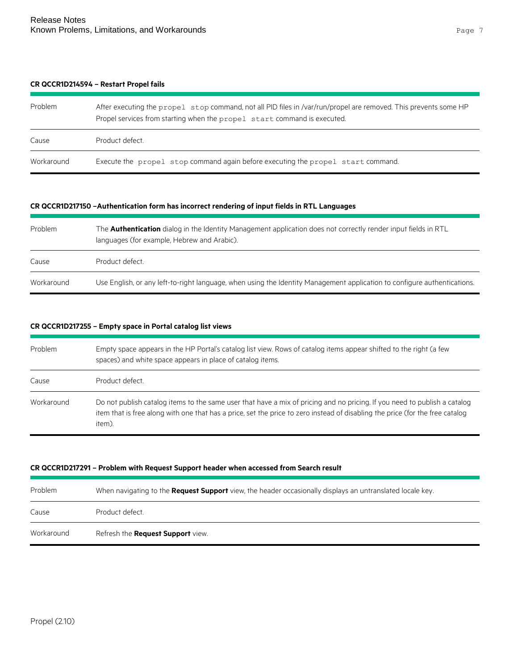#### **CR QCCR1D214594 – Restart Propel fails**

| Problem    | After executing the propel stop command, not all PID files in /var/run/propel are removed. This prevents some HP<br>Propel services from starting when the propel start command is executed. |
|------------|----------------------------------------------------------------------------------------------------------------------------------------------------------------------------------------------|
| Cause      | Product defect.                                                                                                                                                                              |
| Workaround | Execute the propel stop command again before executing the propel start command.                                                                                                             |

#### **CR QCCR1D217150 –Authentication form has incorrect rendering of input fields in RTL Languages**

| Problem    | The <b>Authentication</b> dialog in the Identity Management application does not correctly render input fields in RTL<br>languages (for example, Hebrew and Arabic). |
|------------|----------------------------------------------------------------------------------------------------------------------------------------------------------------------|
| Cause      | Product defect.                                                                                                                                                      |
| Workaround | Use English, or any left-to-right language, when using the Identity Management application to configure authentications.                                             |

#### **CR QCCR1D217255 – Empty space in Portal catalog list views**

| Problem    | Empty space appears in the HP Portal's catalog list view. Rows of catalog items appear shifted to the right (a few<br>spaces) and white space appears in place of catalog items.                                                                                     |
|------------|----------------------------------------------------------------------------------------------------------------------------------------------------------------------------------------------------------------------------------------------------------------------|
| Cause      | Product defect.                                                                                                                                                                                                                                                      |
| Workaround | Do not publish catalog items to the same user that have a mix of pricing and no pricing. If you need to publish a catalog<br>item that is free along with one that has a price, set the price to zero instead of disabling the price (for the free catalog<br>item). |

#### **CR QCCR1D217291 – Problem with Request Support header when accessed from Search result**

| Problem    | When navigating to the <b>Request Support</b> view, the header occasionally displays an untranslated locale key. |
|------------|------------------------------------------------------------------------------------------------------------------|
| Cause      | Product defect.                                                                                                  |
| Workaround | Refresh the Request Support view.                                                                                |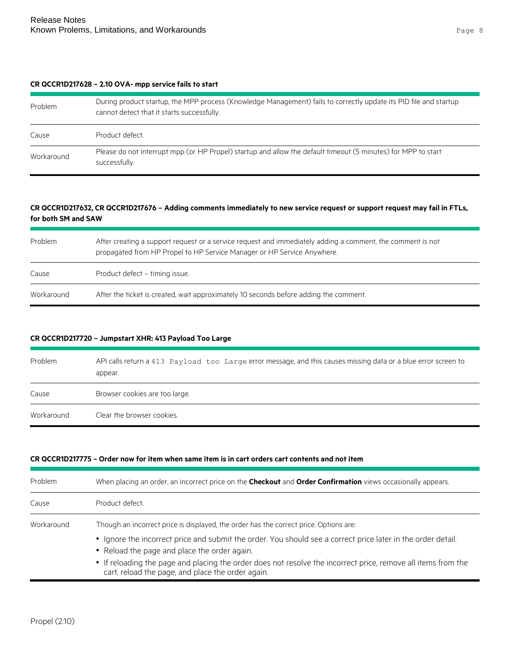#### **CR QCCR1D217628 – 2.10 OVA- mpp service fails to start**

| Problem    | During product startup, the MPP process (Knowledge Management) fails to correctly update its PID file and startup<br>cannot detect that it starts successfully. |
|------------|-----------------------------------------------------------------------------------------------------------------------------------------------------------------|
| Cause      | Product defect.                                                                                                                                                 |
| Workaround | Please do not interrupt mpp (or HP Propel) startup and allow the default timeout (5 minutes) for MPP to start<br>successfully.                                  |

#### **CR QCCR1D217632, CR QCCR1D217676 – Adding comments immediately to new service request or support request may fail in FTLs, for both SM and SAW**

| Problem    | After creating a support request or a service request and immediately adding a comment, the comment is not<br>propagated from HP Propel to HP Service Manager or HP Service Anywhere. |
|------------|---------------------------------------------------------------------------------------------------------------------------------------------------------------------------------------|
| Cause      | Product defect - timing issue.                                                                                                                                                        |
| Workaround | After the ticket is created, wait approximately 10 seconds before adding the comment.                                                                                                 |

#### **CR QCCR1D217720 – Jumpstart XHR: 413 Payload Too Large**

| Problem    | API calls return a 413 Payload too Large error message, and this causes missing data or a blue error screen to<br>appear. |
|------------|---------------------------------------------------------------------------------------------------------------------------|
| Cause      | Browser cookies are too large.                                                                                            |
| Workaround | Clear the browser cookies.                                                                                                |

#### **CR QCCR1D217775 – Order now for item when same item is in cart orders cart contents and not item**

| Problem    | When placing an order, an incorrect price on the <b>Checkout</b> and <b>Order Confirmation</b> views occasionally appears.                                                                                                                                                                                                                                                                                                  |
|------------|-----------------------------------------------------------------------------------------------------------------------------------------------------------------------------------------------------------------------------------------------------------------------------------------------------------------------------------------------------------------------------------------------------------------------------|
| Cause      | Product defect.                                                                                                                                                                                                                                                                                                                                                                                                             |
| Workaround | Though an incorrect price is displayed, the order has the correct price. Options are:<br>• Ignore the incorrect price and submit the order. You should see a correct price later in the order detail.<br>• Reload the page and place the order again.<br>• If reloading the page and placing the order does not resolve the incorrect price, remove all items from the<br>cart, reload the page, and place the order again. |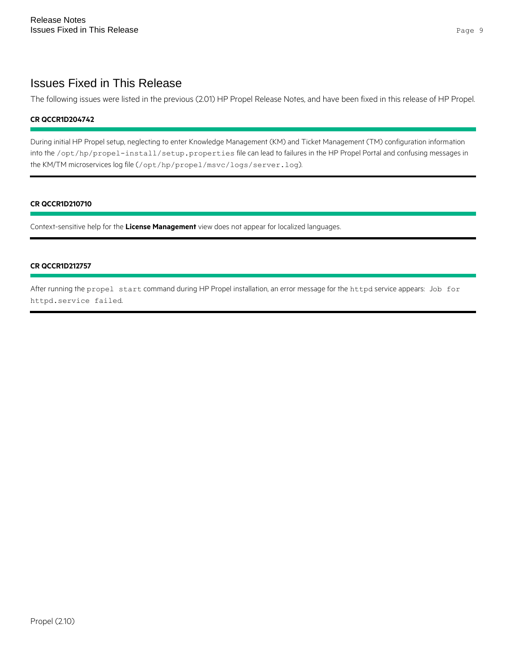## <span id="page-8-0"></span>Issues Fixed in This Release

The following issues were listed in the previous (2.01) HP Propel Release Notes, and have been fixed in this release of HP Propel.

#### **CR QCCR1D204742**

During initial HP Propel setup, neglecting to enter Knowledge Management (KM) and Ticket Management (TM) configuration information into the /opt/hp/propel-install/setup.properties file can lead to failures in the HP Propel Portal and confusing messages in the KM/TM microservices log file (/opt/hp/propel/msvc/logs/server.log).

#### **CR QCCR1D210710**

Context-sensitive help for the **License Management** view does not appear for localized languages.

#### **CR QCCR1D212757**

After running the propel start command during HP Propel installation, an error message for the httpd service appears: Job for httpd.service failed.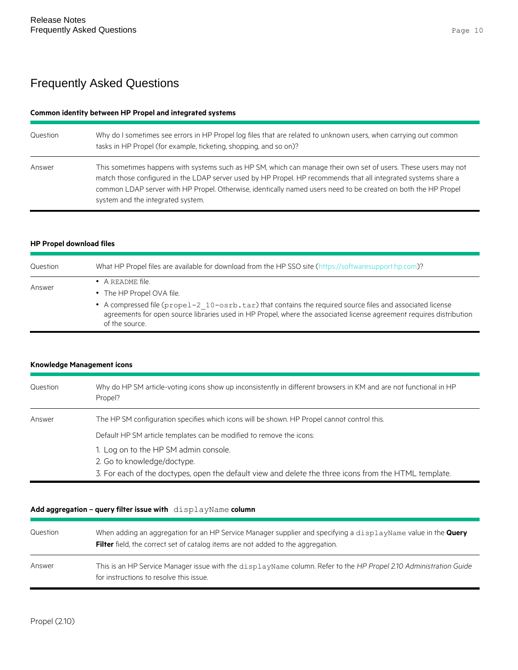## <span id="page-9-0"></span>Frequently Asked Questions

#### **Common identity between HP Propel and integrated systems**

| Question | Why do I sometimes see errors in HP Propel log files that are related to unknown users, when carrying out common<br>tasks in HP Propel (for example, ticketing, shopping, and so on)?                                                                                                                                                                                                    |
|----------|------------------------------------------------------------------------------------------------------------------------------------------------------------------------------------------------------------------------------------------------------------------------------------------------------------------------------------------------------------------------------------------|
| Answer   | This sometimes happens with systems such as HP SM, which can manage their own set of users. These users may not<br>match those configured in the LDAP server used by HP Propel. HP recommends that all integrated systems share a<br>common LDAP server with HP Propel. Otherwise, identically named users need to be created on both the HP Propel<br>system and the integrated system. |

#### **HP Propel download files**

| Question | What HP Propel files are available for download from the HP SSO site (https://softwaresupport.hp.com)?                                                                                                                                              |
|----------|-----------------------------------------------------------------------------------------------------------------------------------------------------------------------------------------------------------------------------------------------------|
| Answer   | • A README file.                                                                                                                                                                                                                                    |
|          | • The HP Propel OVA file.                                                                                                                                                                                                                           |
|          | • A compressed file (prope1-2 10-osrb.tar) that contains the required source files and associated license<br>agreements for open source libraries used in HP Propel, where the associated license agreement requires distribution<br>of the source. |

#### **Knowledge Management icons**

| Question | Why do HP SM article-voting icons show up inconsistently in different browsers in KM and are not functional in HP<br>Propel?                                                  |
|----------|-------------------------------------------------------------------------------------------------------------------------------------------------------------------------------|
| Answer   | The HP SM configuration specifies which icons will be shown. HP Propel cannot control this.                                                                                   |
|          | Default HP SM article templates can be modified to remove the icons:                                                                                                          |
|          | 1. Log on to the HP SM admin console.<br>2. Go to knowledge/doctype.<br>3. For each of the doctypes, open the default view and delete the three icons from the HTML template. |

#### **Add aggregation – query filter issue with** displayName **column**

| Question | When adding an aggregation for an HP Service Manager supplier and specifying a displayName value in the Query<br><b>Filter</b> field, the correct set of catalog items are not added to the aggregation. |
|----------|----------------------------------------------------------------------------------------------------------------------------------------------------------------------------------------------------------|
| Answer   | This is an HP Service Manager issue with the displayName column. Refer to the HP Propel 2.10 Administration Guide<br>for instructions to resolve this issue.                                             |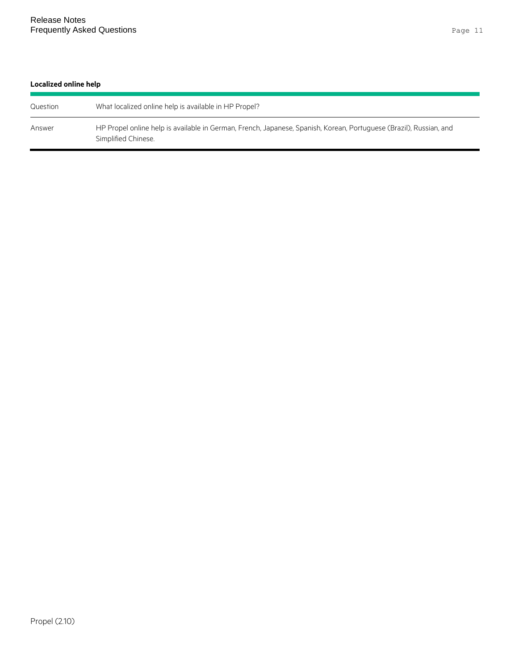#### **Localized online help**

| Question | What localized online help is available in HP Propel?                                                                                     |
|----------|-------------------------------------------------------------------------------------------------------------------------------------------|
| Answer   | HP Propel online help is available in German, French, Japanese, Spanish, Korean, Portuguese (Brazil), Russian, and<br>Simplified Chinese. |